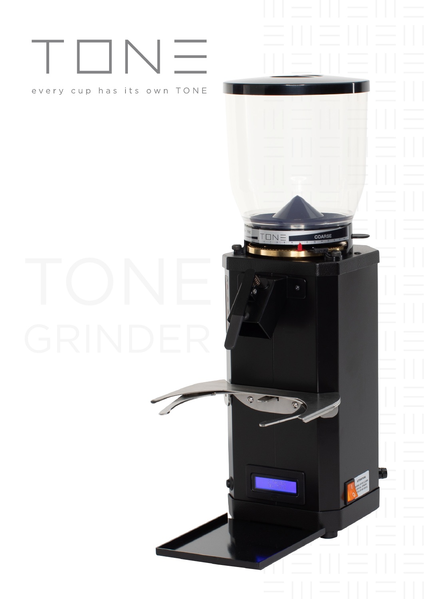# TONE

## every cup has its own TONE

COARSE

TON

 $\odot$